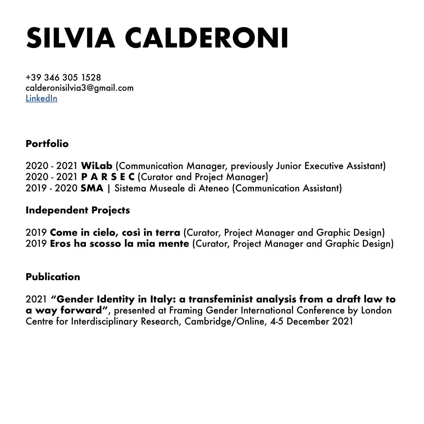# **SILVIA CALDERONI**

+39 346 305 1528 calderonisilvia3@gmail.com [LinkedIn](https://www.linkedin.com/in/silvia-calderoni-8972a3114)

### **Portfolio**

2020 - 2021 **WiLab** (Communication Manager, previously Junior Executive Assistant) 2020 - 2021 **P A R S E C** (Curator and Project Manager) 2019 - 2020 **SMA** | Sistema Museale di Ateneo (Communication Assistant)

### **Independent Projects**

2019 **Come in cielo, così in terra** (Curator, Project Manager and Graphic Design) 2019 **Eros ha scosso la mia mente** (Curator, Project Manager and Graphic Design)

### **Publication**

2021 **"Gender Identity in Italy: a transfeminist analysis from a draft law to a way forward"**, presented at Framing Gender International Conference by London Centre for Interdisciplinary Research, Cambridge/Online, 4-5 December 2021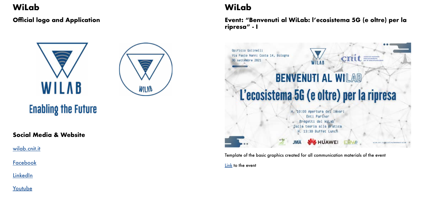## **WiLab**

## **Social Media & Website**

[wilab.cnit.it](http://wilab.cnit.it)

**[Facebook](https://www.facebook.com/wilabcnit/)** 

**[LinkedIn](https://www.linkedin.com/company/wilab)** 

[Youtube](https://www.youtube.com/channel/UCAFLPr5PStXz7A2da6f5QIg)

**Event: "Benvenuti al WiLab: l'ecosistema 5G (e oltre) per la ripresa" - I**



### **Official logo and Application**



**Enabling the Future** 



## **WiLab**

Template of the basic graphics created for all communication materials of the event

[Link](http://wilab.cnit.it/activities/benvenuti-wilab/) to the event

**CITILLET** 

### **NIC HUAWEI**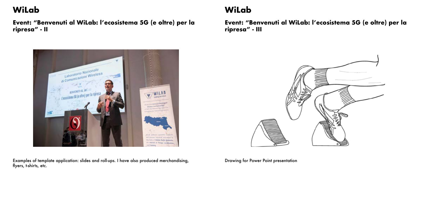**Event: "Benvenuti al WiLab: l'ecosistema 5G (e oltre) per la ripresa" - II**

Examples of template application: slides and roll-ups. I have also produced merchandising, flyers, t-shirts, etc.

## **WiLab**

**Event: "Benvenuti al WiLab: l'ecosistema 5G (e oltre) per la ripresa" - III**



## **WiLab**



Drawing for Power Point presentation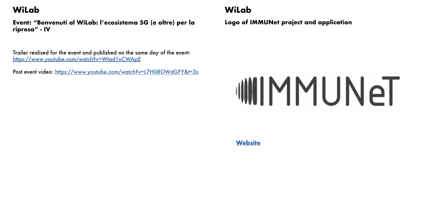Trailer realised for the event and published on the same day of the event: <https://www.youtube.com/watch?v=Wtad1nCWApE>

Post event video: <https://www.youtube.com/watch?v=L7H08OWdGFY&t=3s>

**Event: "Benvenuti al WiLab: l'ecosistema 5G (e oltre) per la ripresa" - IV**

## **WiLab**

**Logo of IMMUNet project and application**



## **WiLab**

**[Website](http://www.iracon.org/immunet/)**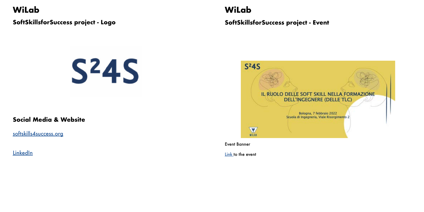**SoftSkillsforSuccess project - Logo**

**WiLab**

### **Social Media & Website**

[softskills4success.org](http://www.softskills4success.org)

**[LinkedIn](https://www.linkedin.com/company/77610715/admin/)** 



Event Banner

[Link t](http://www.softskills4success.org/il-ruolo-delle-soft-skill-nella-formazione-dellingegnere/)o the event

**SoftSkillsforSuccess project - Event**



## **WiLab**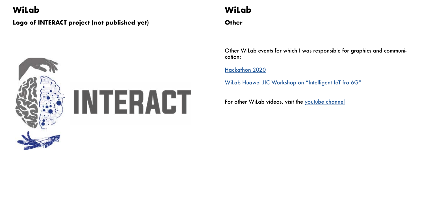### **Logo of INTERACT project (not published yet)**



## **WiLab**

Other WiLab events for which I was responsible for graphics and communication:

[Hackathon 2020](http://wilab.cnit.it/activities/hackathon-2020/)

[WiLab Huawei JIC Workshop on "Intelligent IoT fro 6G"](http://wilab.cnit.it/activities/wilab-huawei-jic-workshop-on-intelligent-iot-for-6g/)

For other WiLab videos, visit the [youtube c](https://www.youtube.com/watch?v=aujynPVVfqw)hannel

**Other**

## **WiLab**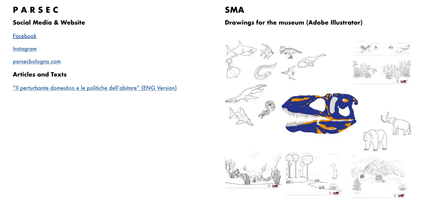### **Social Media & Website**

**[Facebook](https://www.facebook.com/PARSEC.BO)** 

**[Instagram](https://www.instagram.com/parsec.bo/)** 

[parsecbologna.com](https://parsecbologna.com)

**Articles and Texts**

["Il perturbante domestico e le politiche dell'abitare" \(ENG Version\)](https://parsecbologna.com/en/domestic-perturbant-and-politics-of-living/)

## **P A R S E C**

### **Drawings for the museum (Adobe Illustrator)**





### **SMA**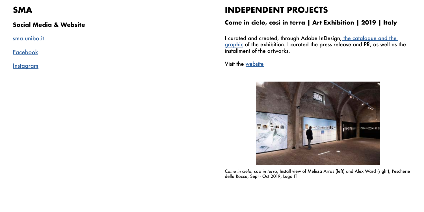I curated and created, through Adobe InDesign, the catalogue and the [graphic](https://silviacalderoniorg.files.wordpress.com/2020/06/catalogo-impaginato.pdf) of the exhibition. I curated the press release and PR, as well as the installment of the artworks.

Visit the [website](https://collettivoartenoma.wixsite.com/collettivoartenomade/come-in-cielo-cosi-in-terra)

### **Social Media & Website**

[sma.unibo.it](https://www.instagram.com/museiunibo/)

**[Facebook](https://www.instagram.com/museiunibo/)** 

**[Instagram](https://www.instagram.com/museiunibo/)** 

## **SMA**

### **Come in cielo, così in terra | Art Exhibition | 2019 | Italy**

## **INDEPENDENT PROJECTS**



*Come in cielo, cosí in terra*, Install view of Melissa Arras (left) and Alex Ward (right), Pescherie della Rocca, Sept - Oct 2019, Lugo IT